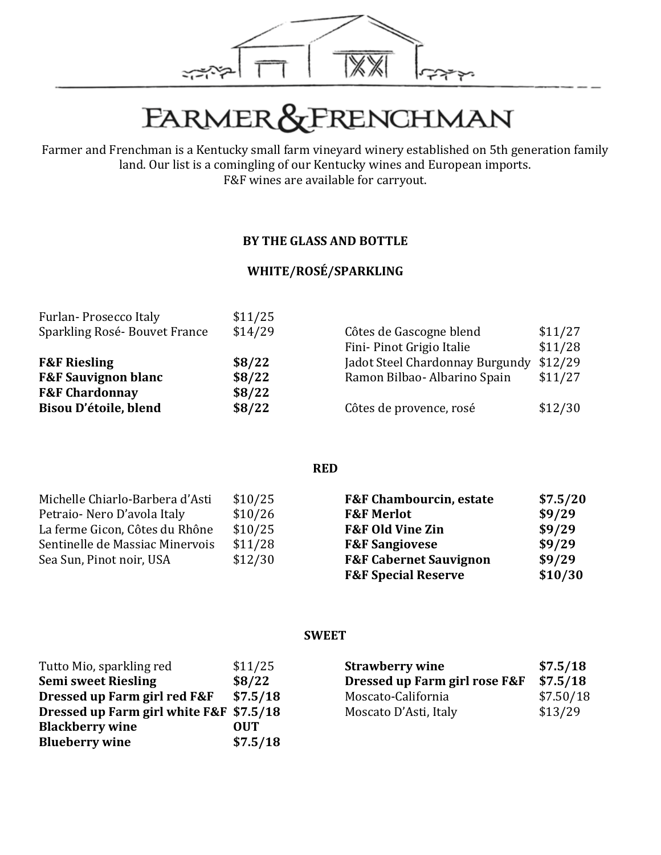

# FARMER&FRENCHMAN

Farmer and Frenchman is a Kentucky small farm vineyard winery established on 5th generation family land. Our list is a comingling of our Kentucky wines and European imports. F&F wines are available for carryout.

#### **BY THE GLASS AND BOTTLE**

#### **WHITE/ROSÉ/SPARKLING**

| Furlan-Prosecco Italy          | \$11/25 |                                 |         |
|--------------------------------|---------|---------------------------------|---------|
| Sparkling Rosé-Bouvet France   | \$14/29 | Côtes de Gascogne blend         | \$11/27 |
|                                |         | Fini-Pinot Grigio Italie        | \$11/28 |
| <b>F&amp;F Riesling</b>        | \$8/22  | Jadot Steel Chardonnay Burgundy | \$12/29 |
| <b>F&amp;F Sauvignon blanc</b> | \$8/22  | Ramon Bilbao- Albarino Spain    | \$11/27 |
| <b>F&amp;F Chardonnay</b>      | \$8/22  |                                 |         |
| Bisou D'étoile, blend          | \$8/22  | Côtes de provence, rosé         | \$12/30 |
|                                |         |                                 |         |

**RED**

| Michelle Chiarlo-Barbera d'Asti | \$10/25 | <b>F&amp;F Chambourcin, estate</b> | \$7.5/20 |
|---------------------------------|---------|------------------------------------|----------|
| Petraio-Nero D'avola Italy      | \$10/26 | <b>F&amp;F Merlot</b>              | \$9/29   |
| La ferme Gicon, Côtes du Rhône  | \$10/25 | <b>F&amp;F Old Vine Zin</b>        | \$9/29   |
| Sentinelle de Massiac Minervois | \$11/28 | <b>F&amp;F Sangiovese</b>          | \$9/29   |
| Sea Sun, Pinot noir, USA        | \$12/30 | <b>F&amp;F Cabernet Sauvignon</b>  | \$9/29   |
|                                 |         | <b>F&amp;F Special Reserve</b>     | \$10/30  |

#### **SWEET**

| Tutto Mio, sparkling red       | \$11/25    |
|--------------------------------|------------|
| <b>Semi sweet Riesling</b>     | \$8/22     |
| Dressed up Farm girl red F&F   | \$7.5/18   |
| Dressed up Farm girl white F&F | \$7.5/18   |
| <b>Blackberry wine</b>         | <b>OUT</b> |
| <b>Blueberry wine</b>          | \$7.5/18   |

| <b>Strawberry wine</b>        | \$7.5/18  |
|-------------------------------|-----------|
| Dressed up Farm girl rose F&F | \$7.5/18  |
| Moscato-California            | \$7.50/18 |
| Moscato D'Asti, Italy         | \$13/29   |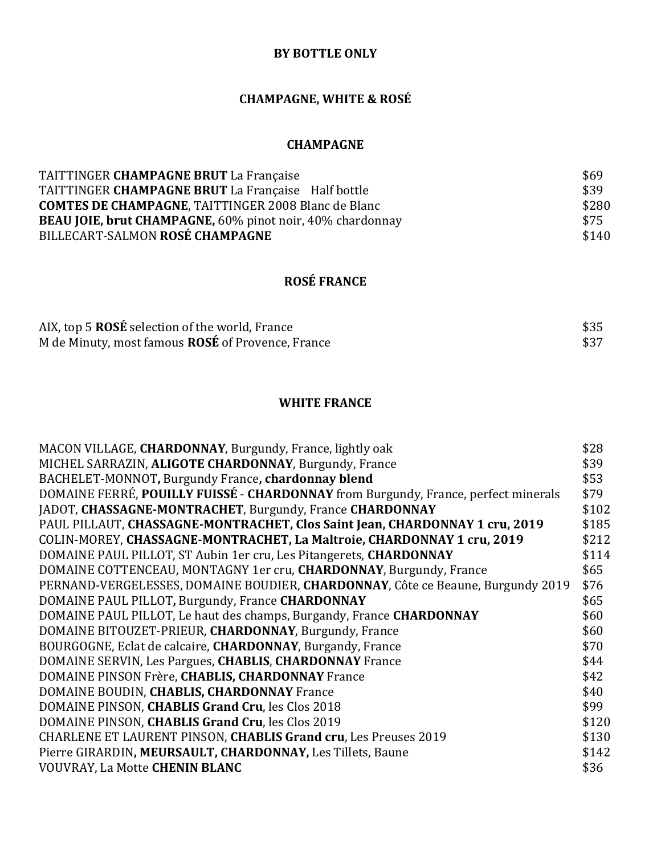#### **BY BOTTLE ONLY**

#### **CHAMPAGNE, WHITE & ROSÉ**

#### **CHAMPAGNE**

| TAITTINGER CHAMPAGNE BRUT La Française                           | \$69  |
|------------------------------------------------------------------|-------|
| TAITTINGER CHAMPAGNE BRUT La Française Half bottle               | \$39  |
| <b>COMTES DE CHAMPAGNE, TAITTINGER 2008 Blanc de Blanc</b>       | \$280 |
| <b>BEAU JOIE, brut CHAMPAGNE, 60% pinot noir, 40% chardonnay</b> | \$75  |
| BILLECART-SALMON ROSÉ CHAMPAGNE                                  | \$140 |

#### **ROSÉ FRANCE**

| AIX, top 5 ROSÉ selection of the world, France    | \$35 |
|---------------------------------------------------|------|
| M de Minuty, most famous ROSÉ of Provence, France | \$37 |

#### **WHITE FRANCE**

| MACON VILLAGE, CHARDONNAY, Burgundy, France, lightly oak                           | \$28  |
|------------------------------------------------------------------------------------|-------|
| MICHEL SARRAZIN, ALIGOTE CHARDONNAY, Burgundy, France                              | \$39  |
| BACHELET-MONNOT, Burgundy France, chardonnay blend                                 | \$53  |
| DOMAINE FERRÉ, POUILLY FUISSÉ - CHARDONNAY from Burgundy, France, perfect minerals | \$79  |
| JADOT, CHASSAGNE-MONTRACHET, Burgundy, France CHARDONNAY                           | \$102 |
| PAUL PILLAUT, CHASSAGNE-MONTRACHET, Clos Saint Jean, CHARDONNAY 1 cru, 2019        | \$185 |
| COLIN-MOREY, CHASSAGNE-MONTRACHET, La Maltroie, CHARDONNAY 1 cru, 2019             | \$212 |
| DOMAINE PAUL PILLOT, ST Aubin 1er cru, Les Pitangerets, CHARDONNAY                 | \$114 |
| DOMAINE COTTENCEAU, MONTAGNY 1er cru, CHARDONNAY, Burgundy, France                 | \$65  |
| PERNAND-VERGELESSES, DOMAINE BOUDIER, CHARDONNAY, Côte ce Beaune, Burgundy 2019    | \$76  |
| DOMAINE PAUL PILLOT, Burgundy, France CHARDONNAY                                   | \$65  |
| DOMAINE PAUL PILLOT, Le haut des champs, Burgandy, France CHARDONNAY               | \$60  |
| DOMAINE BITOUZET-PRIEUR, CHARDONNAY, Burgundy, France                              | \$60  |
| BOURGOGNE, Eclat de calcaire, CHARDONNAY, Burgandy, France                         | \$70  |
| DOMAINE SERVIN, Les Pargues, CHABLIS, CHARDONNAY France                            | \$44  |
| DOMAINE PINSON Frère, CHABLIS, CHARDONNAY France                                   | \$42  |
| DOMAINE BOUDIN, CHABLIS, CHARDONNAY France                                         | \$40  |
| DOMAINE PINSON, CHABLIS Grand Cru, les Clos 2018                                   | \$99  |
| DOMAINE PINSON, CHABLIS Grand Cru, les Clos 2019                                   | \$120 |
| <b>CHARLENE ET LAURENT PINSON, CHABLIS Grand cru, Les Preuses 2019</b>             | \$130 |
| Pierre GIRARDIN, MEURSAULT, CHARDONNAY, Les Tillets, Baune                         | \$142 |
| VOUVRAY, La Motte CHENIN BLANC                                                     | \$36  |
|                                                                                    |       |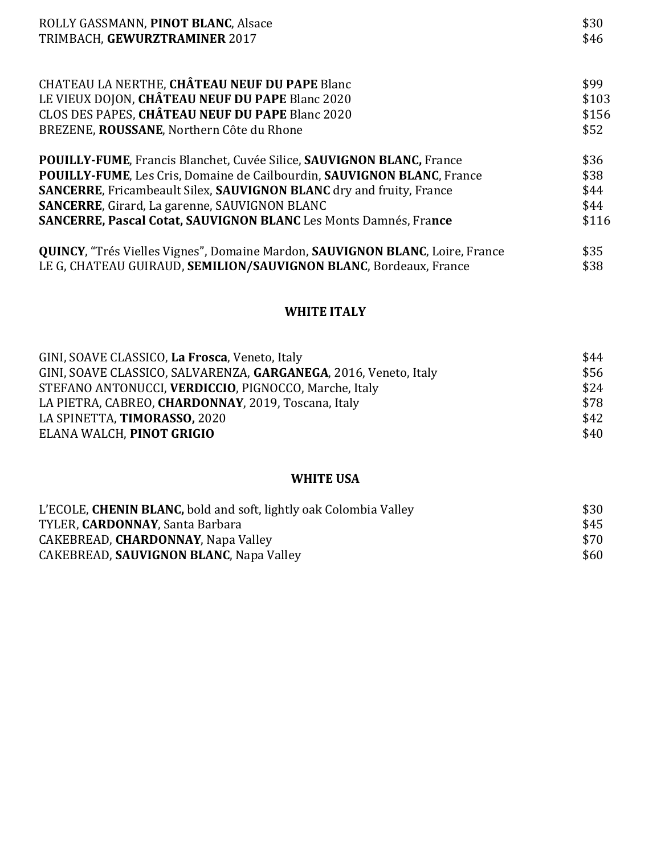| ROLLY GASSMANN, PINOT BLANC, Alsace                                                           | \$30  |
|-----------------------------------------------------------------------------------------------|-------|
| TRIMBACH, GEWURZTRAMINER 2017                                                                 | \$46  |
| CHATEAU LA NERTHE, CHÂTEAU NEUF DU PAPE Blanc                                                 | \$99  |
| LE VIEUX DOJON, CHÂTEAU NEUF DU PAPE Blanc 2020                                               | \$103 |
| CLOS DES PAPES, CHÂTEAU NEUF DU PAPE Blanc 2020                                               | \$156 |
| BREZENE, ROUSSANE, Northern Côte du Rhone                                                     | \$52  |
| <b>POUILLY-FUME, Francis Blanchet, Cuvée Silice, SAUVIGNON BLANC, France</b>                  | \$36  |
| <b>POUILLY-FUME, Les Cris, Domaine de Cailbourdin, SAUVIGNON BLANC, France</b>                | \$38  |
| <b>SANCERRE, Fricambeault Silex, SAUVIGNON BLANC dry and fruity, France</b>                   | \$44  |
| <b>SANCERRE, Girard, La garenne, SAUVIGNON BLANC</b>                                          | \$44  |
| <b>SANCERRE, Pascal Cotat, SAUVIGNON BLANC Les Monts Damnés, France</b>                       | \$116 |
| <b>QUINCY</b> , "Trés Vielles Vignes", Domaine Mardon, <b>SAUVIGNON BLANC</b> , Loire, France | \$35  |
| LE G, CHATEAU GUIRAUD, SEMILION/SAUVIGNON BLANC, Bordeaux, France                             | \$38  |

#### **WHITE ITALY**

| GINI, SOAVE CLASSICO, La Frosca, Veneto, Italy                   | \$44 |
|------------------------------------------------------------------|------|
| GINI, SOAVE CLASSICO, SALVARENZA, GARGANEGA, 2016, Veneto, Italy | \$56 |
| STEFANO ANTONUCCI, VERDICCIO, PIGNOCCO, Marche, Italy            | \$24 |
| LA PIETRA, CABREO, CHARDONNAY, 2019, Toscana, Italy              | \$78 |
| LA SPINETTA, TIMORASSO, 2020                                     | \$42 |
| ELANA WALCH, PINOT GRIGIO                                        | \$40 |

#### **WHITE USA**

| L'ECOLE, CHENIN BLANC, bold and soft, lightly oak Colombia Valley | \$30 |
|-------------------------------------------------------------------|------|
| TYLER, <b>CARDONNAY</b> , Santa Barbara                           | \$45 |
| CAKEBREAD, CHARDONNAY, Napa Valley                                | \$70 |
| CAKEBREAD, SAUVIGNON BLANC, Napa Valley                           | \$60 |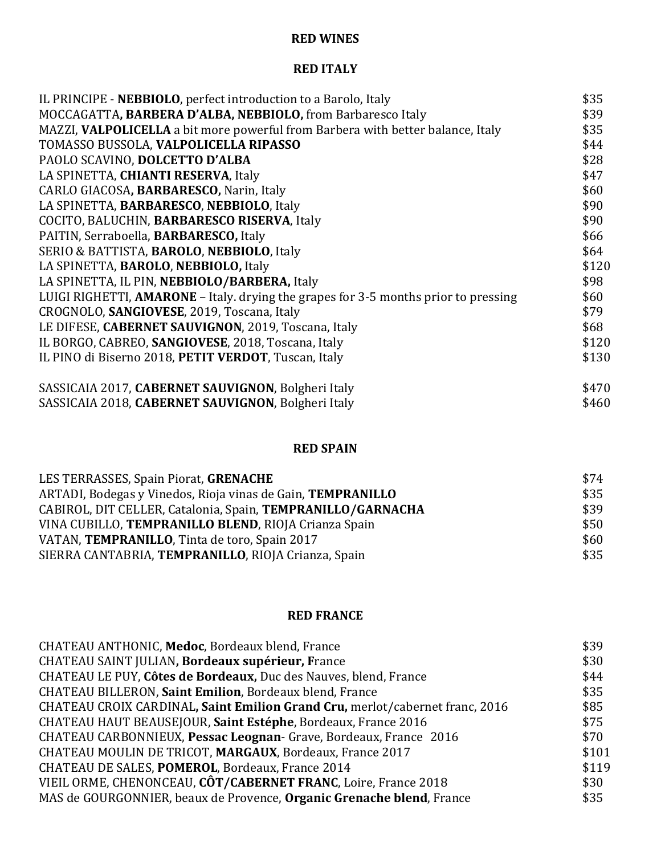#### **RED WINES**

#### **RED ITALY**

| IL PRINCIPE - NEBBIOLO, perfect introduction to a Barolo, Italy                     | \$35  |
|-------------------------------------------------------------------------------------|-------|
| MOCCAGATTA, BARBERA D'ALBA, NEBBIOLO, from Barbaresco Italy                         | \$39  |
| MAZZI, VALPOLICELLA a bit more powerful from Barbera with better balance, Italy     | \$35  |
| TOMASSO BUSSOLA, VALPOLICELLA RIPASSO                                               | \$44  |
| PAOLO SCAVINO, DOLCETTO D'ALBA                                                      | \$28  |
| LA SPINETTA, CHIANTI RESERVA, Italy                                                 | \$47  |
| CARLO GIACOSA, BARBARESCO, Narin, Italy                                             | \$60  |
| LA SPINETTA, BARBARESCO, NEBBIOLO, Italy                                            | \$90  |
| COCITO, BALUCHIN, BARBARESCO RISERVA, Italy                                         | \$90  |
| PAITIN, Serraboella, BARBARESCO, Italy                                              | \$66  |
| SERIO & BATTISTA, BAROLO, NEBBIOLO, Italy                                           | \$64  |
| LA SPINETTA, BAROLO, NEBBIOLO, Italy                                                | \$120 |
| LA SPINETTA, IL PIN, NEBBIOLO/BARBERA, Italy                                        | \$98  |
| LUIGI RIGHETTI, AMARONE – Italy. drying the grapes for 3-5 months prior to pressing | \$60  |
| CROGNOLO, SANGIOVESE, 2019, Toscana, Italy                                          | \$79  |
| LE DIFESE, CABERNET SAUVIGNON, 2019, Toscana, Italy                                 | \$68  |
| IL BORGO, CABREO, SANGIOVESE, 2018, Toscana, Italy                                  | \$120 |
| IL PINO di Biserno 2018, PETIT VERDOT, Tuscan, Italy                                | \$130 |
| SASSICAIA 2017, CABERNET SAUVIGNON, Bolgheri Italy                                  | \$470 |
| SASSICAIA 2018, CABERNET SAUVIGNON, Bolgheri Italy                                  | \$460 |

#### **RED SPAIN**

| LES TERRASSES, Spain Piorat, GRENACHE                              | \$74 |
|--------------------------------------------------------------------|------|
| ARTADI, Bodegas y Vinedos, Rioja vinas de Gain, <b>TEMPRANILLO</b> | \$35 |
| CABIROL, DIT CELLER, Catalonia, Spain, TEMPRANILLO/GARNACHA        | \$39 |
| VINA CUBILLO, TEMPRANILLO BLEND, RIOJA Crianza Spain               | \$50 |
| VATAN, TEMPRANILLO, Tinta de toro, Spain 2017                      | \$60 |
| SIERRA CANTABRIA, TEMPRANILLO, RIOJA Crianza, Spain                | \$35 |

#### **RED FRANCE**

| CHATEAU ANTHONIC, Medoc, Bordeaux blend, France                              | \$39  |
|------------------------------------------------------------------------------|-------|
| CHATEAU SAINT JULIAN, Bordeaux supérieur, France                             | \$30  |
| CHATEAU LE PUY, Côtes de Bordeaux, Duc des Nauves, blend, France             | \$44  |
| CHATEAU BILLERON, Saint Emilion, Bordeaux blend, France                      | \$35  |
| CHATEAU CROIX CARDINAL, Saint Emilion Grand Cru, merlot/cabernet franc, 2016 | \$85  |
| CHATEAU HAUT BEAUSEJOUR, Saint Estéphe, Bordeaux, France 2016                | \$75  |
| CHATEAU CARBONNIEUX, Pessac Leognan- Grave, Bordeaux, France 2016            | \$70  |
| CHATEAU MOULIN DE TRICOT, MARGAUX, Bordeaux, France 2017                     | \$101 |
| CHATEAU DE SALES, POMEROL, Bordeaux, France 2014                             | \$119 |
| VIEIL ORME, CHENONCEAU, CÔT/CABERNET FRANC, Loire, France 2018               | \$30  |
| MAS de GOURGONNIER, beaux de Provence, Organic Grenache blend, France        | \$35  |
|                                                                              |       |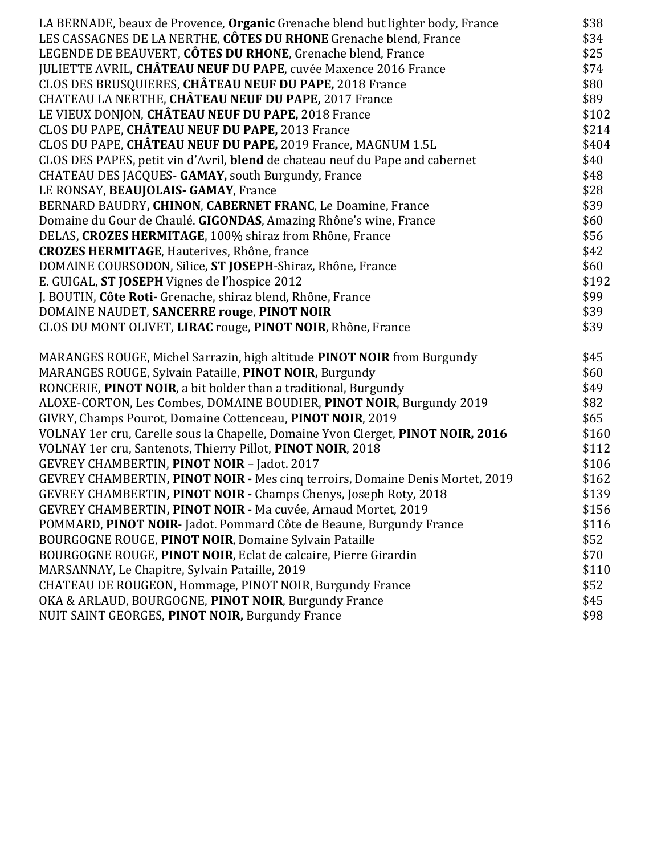| LA BERNADE, beaux de Provence, Organic Grenache blend but lighter body, France   | \$38  |
|----------------------------------------------------------------------------------|-------|
| LES CASSAGNES DE LA NERTHE, CÔTES DU RHONE Grenache blend, France                | \$34  |
| LEGENDE DE BEAUVERT, CÔTES DU RHONE, Grenache blend, France                      | \$25  |
| JULIETTE AVRIL, CHÂTEAU NEUF DU PAPE, cuvée Maxence 2016 France                  | \$74  |
| CLOS DES BRUSQUIERES, CHÂTEAU NEUF DU PAPE, 2018 France                          | \$80  |
| CHATEAU LA NERTHE, CHÂTEAU NEUF DU PAPE, 2017 France                             | \$89  |
| LE VIEUX DONJON, CHÂTEAU NEUF DU PAPE, 2018 France                               | \$102 |
| CLOS DU PAPE, CHÂTEAU NEUF DU PAPE, 2013 France                                  | \$214 |
| CLOS DU PAPE, CHÂTEAU NEUF DU PAPE, 2019 France, MAGNUM 1.5L                     | \$404 |
| CLOS DES PAPES, petit vin d'Avril, blend de chateau neuf du Pape and cabernet    | \$40  |
| CHATEAU DES JACQUES- GAMAY, south Burgundy, France                               | \$48  |
| LE RONSAY, BEAUJOLAIS- GAMAY, France                                             | \$28  |
| BERNARD BAUDRY, CHINON, CABERNET FRANC, Le Doamine, France                       | \$39  |
| Domaine du Gour de Chaulé. GIGONDAS, Amazing Rhône's wine, France                | \$60  |
| DELAS, CROZES HERMITAGE, 100% shiraz from Rhône, France                          | \$56  |
| <b>CROZES HERMITAGE, Hauterives, Rhône, france</b>                               | \$42  |
| DOMAINE COURSODON, Silice, ST JOSEPH-Shiraz, Rhône, France                       | \$60  |
| E. GUIGAL, ST JOSEPH Vignes de l'hospice 2012                                    | \$192 |
| J. BOUTIN, Côte Roti- Grenache, shiraz blend, Rhône, France                      | \$99  |
| DOMAINE NAUDET, SANCERRE rouge, PINOT NOIR                                       | \$39  |
| CLOS DU MONT OLIVET, LIRAC rouge, PINOT NOIR, Rhône, France                      | \$39  |
| MARANGES ROUGE, Michel Sarrazin, high altitude PINOT NOIR from Burgundy          | \$45  |
| MARANGES ROUGE, Sylvain Pataille, PINOT NOIR, Burgundy                           | \$60  |
| RONCERIE, PINOT NOIR, a bit bolder than a traditional, Burgundy                  | \$49  |
| ALOXE-CORTON, Les Combes, DOMAINE BOUDIER, PINOT NOIR, Burgundy 2019             | \$82  |
| GIVRY, Champs Pourot, Domaine Cottenceau, PINOT NOIR, 2019                       | \$65  |
| VOLNAY 1er cru, Carelle sous la Chapelle, Domaine Yvon Clerget, PINOT NOIR, 2016 | \$160 |
| VOLNAY 1er cru, Santenots, Thierry Pillot, PINOT NOIR, 2018                      | \$112 |
| GEVREY CHAMBERTIN, PINOT NOIR - Jadot. 2017                                      | \$106 |
| GEVREY CHAMBERTIN, PINOT NOIR - Mes cinq terroirs, Domaine Denis Mortet, 2019    | \$162 |
| GEVREY CHAMBERTIN, PINOT NOIR - Champs Chenys, Joseph Roty, 2018                 | \$139 |
| GEVREY CHAMBERTIN, PINOT NOIR - Ma cuvée, Arnaud Mortet, 2019                    | \$156 |
| POMMARD, PINOT NOIR- Jadot. Pommard Côte de Beaune, Burgundy France              | \$116 |
| BOURGOGNE ROUGE, PINOT NOIR, Domaine Sylvain Pataille                            | \$52  |
| BOURGOGNE ROUGE, PINOT NOIR, Eclat de calcaire, Pierre Girardin                  | \$70  |
| MARSANNAY, Le Chapitre, Sylvain Pataille, 2019                                   | \$110 |
| CHATEAU DE ROUGEON, Hommage, PINOT NOIR, Burgundy France                         | \$52  |
| OKA & ARLAUD, BOURGOGNE, PINOT NOIR, Burgundy France                             | \$45  |
| NUIT SAINT GEORGES, PINOT NOIR, Burgundy France                                  | \$98  |
|                                                                                  |       |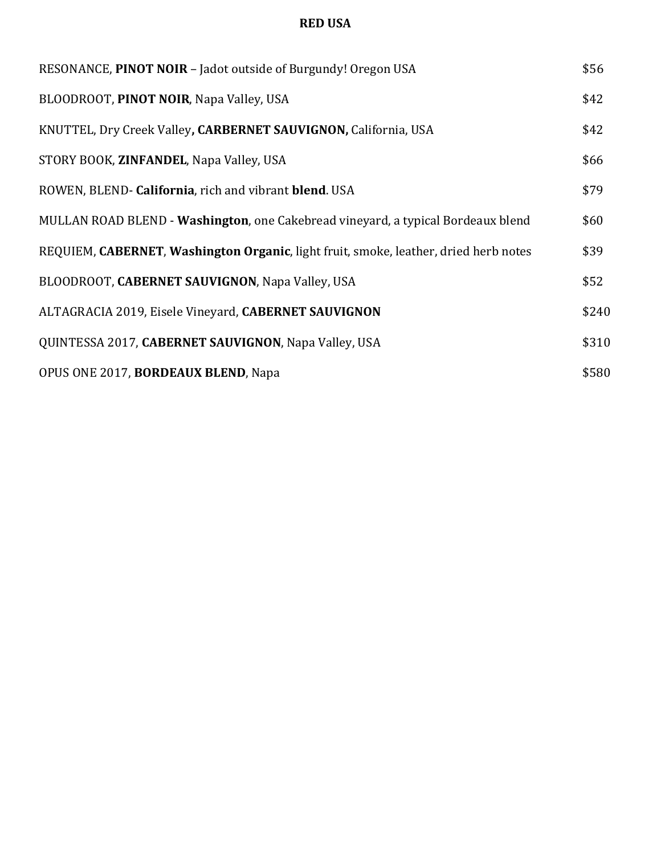#### **RED USA**

| RESONANCE, PINOT NOIR - Jadot outside of Burgundy! Oregon USA                        | \$56  |
|--------------------------------------------------------------------------------------|-------|
| BLOODROOT, PINOT NOIR, Napa Valley, USA                                              | \$42  |
| KNUTTEL, Dry Creek Valley, CARBERNET SAUVIGNON, California, USA                      | \$42  |
| STORY BOOK, ZINFANDEL, Napa Valley, USA                                              | \$66  |
| ROWEN, BLEND- California, rich and vibrant blend. USA                                | \$79  |
| MULLAN ROAD BLEND - Washington, one Cakebread vineyard, a typical Bordeaux blend     | \$60  |
| REQUIEM, CABERNET, Washington Organic, light fruit, smoke, leather, dried herb notes | \$39  |
| BLOODROOT, CABERNET SAUVIGNON, Napa Valley, USA                                      | \$52  |
| ALTAGRACIA 2019, Eisele Vineyard, CABERNET SAUVIGNON                                 | \$240 |
| QUINTESSA 2017, CABERNET SAUVIGNON, Napa Valley, USA                                 | \$310 |
| OPUS ONE 2017, <b>BORDEAUX BLEND</b> , Napa                                          | \$580 |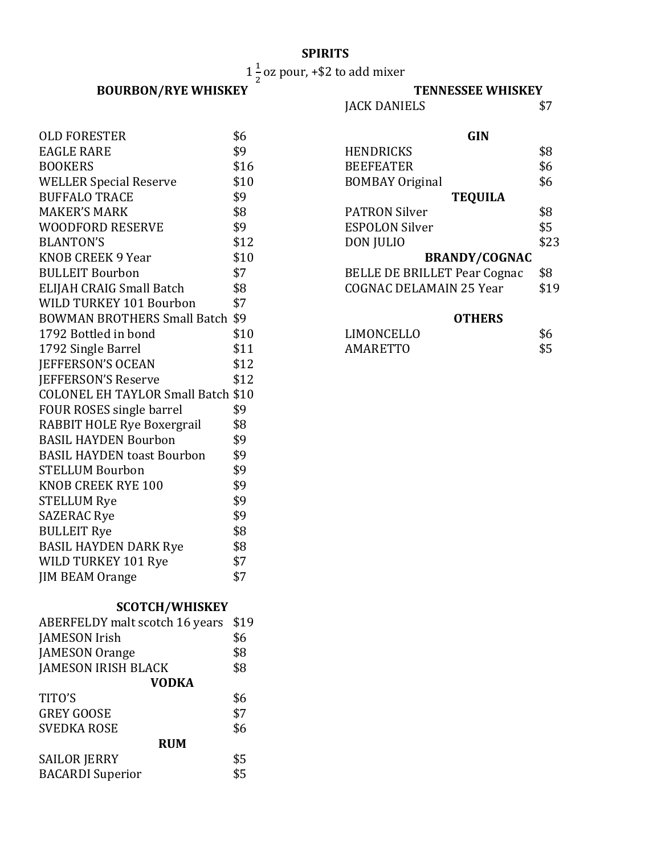#### **SPIRITS**

 $1\frac{1}{2}$  oz pour, +\$2 to add mixer

## **BOURBON/RYE WHISKEY**<br> **IACK DANIELS** \$7

### JACK DANIELS

| <b>OLD FORESTER</b>                | \$6  |
|------------------------------------|------|
| <b>EAGLE RARE</b>                  | \$9  |
| <b>BOOKERS</b>                     | \$16 |
| <b>WELLER Special Reserve</b>      | \$10 |
| <b>BUFFALO TRACE</b>               | \$9  |
| <b>MAKER'S MARK</b>                | \$8  |
| WOODFORD RESERVE                   | \$9  |
| <b>BLANTON'S</b>                   | \$12 |
| KNOB CREEK 9 Year                  | \$10 |
| <b>BULLEIT Bourbon</b>             | \$7  |
| ELIJAH CRAIG Small Batch           | \$8  |
| WILD TURKEY 101 Bourbon            | \$7  |
| BOWMAN BROTHERS Small Batch \$9    |      |
| 1792 Bottled in bond               | \$10 |
| 1792 Single Barrel                 | \$11 |
| JEFFERSON'S OCEAN                  | \$12 |
| <b>JEFFERSON'S Reserve</b>         | \$12 |
| COLONEL EH TAYLOR Small Batch \$10 |      |
| FOUR ROSES single barrel           | \$9  |
| RABBIT HOLE Rye Boxergrail         | \$8  |
| <b>BASIL HAYDEN Bourbon</b>        | \$9  |
| <b>BASIL HAYDEN toast Bourbon</b>  | \$9  |
| <b>STELLUM Bourbon</b>             | \$9  |
| <b>KNOB CREEK RYE 100</b>          | \$9  |
| <b>STELLUM Rye</b>                 | \$9  |
| <b>SAZERAC Rye</b>                 | \$9  |
| <b>BULLEIT Rye</b>                 | \$8  |
| <b>BASIL HAYDEN DARK Rye</b>       | \$8  |
| WILD TURKEY 101 Rye                | \$7  |
| <b>JIM BEAM Orange</b>             | \$7  |
|                                    |      |

| <b>GIN</b>                          |      |
|-------------------------------------|------|
| HENDRICKS                           | \$8  |
| <b>BEEFEATER</b>                    | \$6  |
| <b>BOMBAY Original</b>              | \$6  |
| <b>TEQUILA</b>                      |      |
| <b>PATRON Silver</b>                | \$8  |
| <b>ESPOLON Silver</b>               | \$5  |
| DON JULIO                           | \$23 |
| <b>BRANDY/COGNAC</b>                |      |
| <b>BELLE DE BRILLET Pear Cognac</b> | \$8  |
| <b>COGNAC DELAMAIN 25 Year</b>      | \$19 |
|                                     |      |

#### **OTHERS**

| <b>LIMONCELLO</b> |     |
|-------------------|-----|
| AMARETTO          | \$5 |

#### **SCOTCH/WHISKEY**

| <b>ABERFELDY</b> malt scotch 16 years | \$19 |
|---------------------------------------|------|
| JAMESON Irish                         | \$6  |
| <b>JAMESON Orange</b>                 | \$8  |
| <b>JAMESON IRISH BLACK</b>            | \$8  |
| <b>VODKA</b>                          |      |
| TITO'S                                | \$6  |
| <b>GREY GOOSE</b>                     | \$7  |
| <b>SVEDKA ROSE</b>                    | \$6  |
| <b>RUM</b>                            |      |
| <b>SAILOR JERRY</b>                   | \$5  |
| <b>BACARDI</b> Superior               | \$5  |